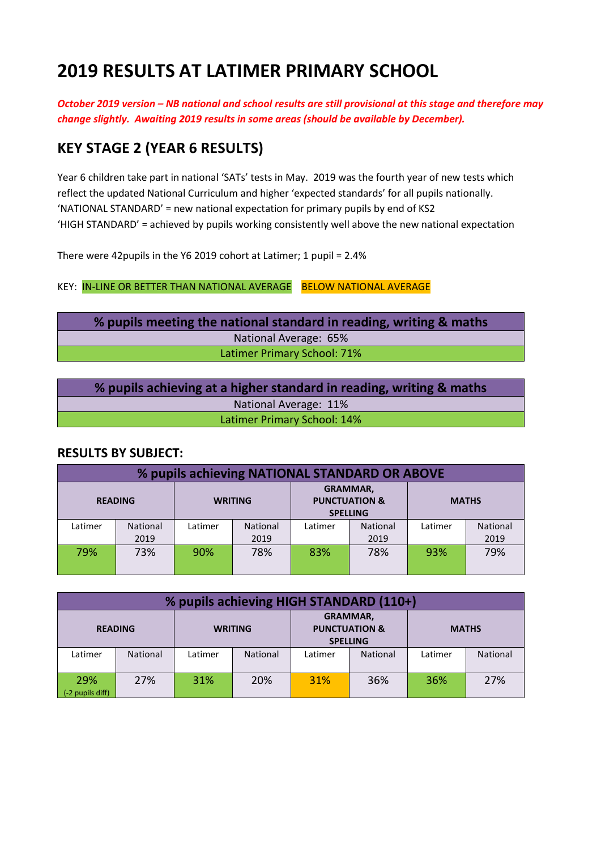# **2019 RESULTS AT LATIMER PRIMARY SCHOOL**

*October 2019 version – NB national and school results are still provisional at this stage and therefore may change slightly. Awaiting 2019 results in some areas (should be available by December).*

# **KEY STAGE 2 (YEAR 6 RESULTS)**

Year 6 children take part in national 'SATs' tests in May. 2019 was the fourth year of new tests which reflect the updated National Curriculum and higher 'expected standards' for all pupils nationally. 'NATIONAL STANDARD' = new national expectation for primary pupils by end of KS2 'HIGH STANDARD' = achieved by pupils working consistently well above the new national expectation

There were 42pupils in the Y6 2019 cohort at Latimer; 1 pupil = 2.4%

KEY: IN-LINE OR BETTER THAN NATIONAL AVERAGE BELOW NATIONAL AVERAGE

**% pupils meeting the national standard in reading, writing & maths** National Average: 65% Latimer Primary School: 71%

| % pupils achieving at a higher standard in reading, writing & maths |  |
|---------------------------------------------------------------------|--|
| National Average: 11%                                               |  |
| Latimer Primary School: 14%                                         |  |

#### **RESULTS BY SUBJECT:**

| % pupils achieving NATIONAL STANDARD OR ABOVE |                 |         |                 |                                                                |          |              |          |
|-----------------------------------------------|-----------------|---------|-----------------|----------------------------------------------------------------|----------|--------------|----------|
|                                               | <b>READING</b>  |         | <b>WRITING</b>  | <b>GRAMMAR,</b><br><b>PUNCTUATION &amp;</b><br><b>SPELLING</b> |          | <b>MATHS</b> |          |
| Latimer                                       | <b>National</b> | Latimer | <b>National</b> | Latimer                                                        | National | Latimer      | National |
|                                               | 2019            |         | 2019            |                                                                | 2019     |              | 2019     |
| 79%                                           | 73%             | 90%     | 78%             | 83%                                                            | 78%      | 93%          | 79%      |

| % pupils achieving HIGH STANDARD (110+) |                 |                |          |                                                                |                 |              |          |
|-----------------------------------------|-----------------|----------------|----------|----------------------------------------------------------------|-----------------|--------------|----------|
|                                         | <b>READING</b>  | <b>WRITING</b> |          | <b>GRAMMAR,</b><br><b>PUNCTUATION &amp;</b><br><b>SPELLING</b> |                 | <b>MATHS</b> |          |
| Latimer                                 | <b>National</b> | Latimer        | National | Latimer                                                        | <b>National</b> | Latimer      | National |
| 29%<br>$(-2$ pupils diff)               | 27%             | 31%            | 20%      | <b>31%</b>                                                     | 36%             | 36%          | 27%      |